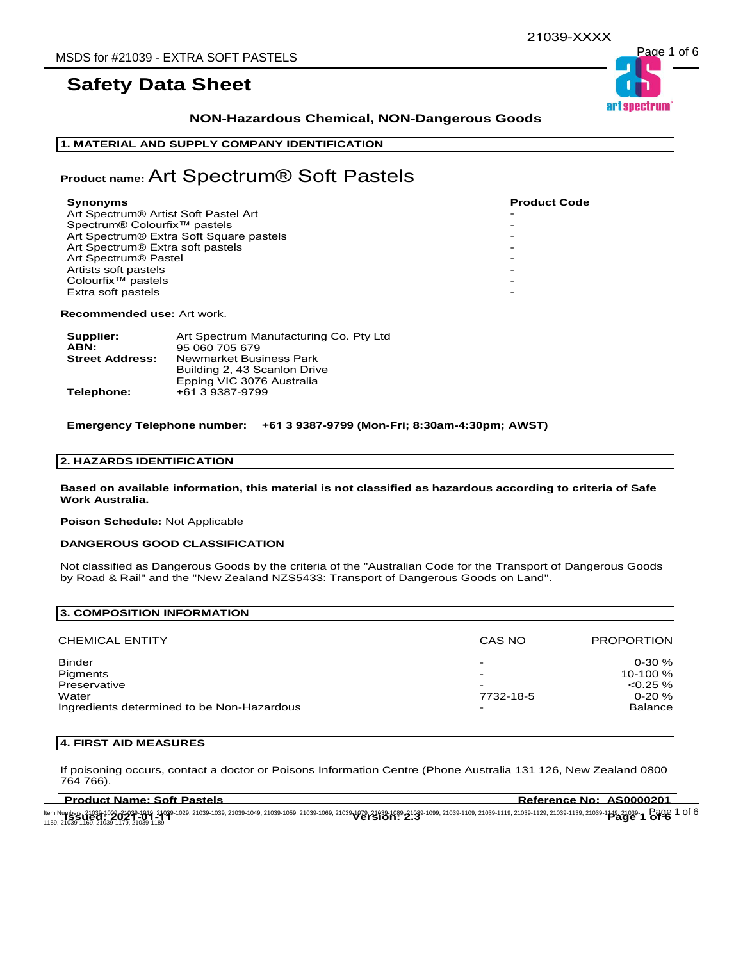# **NON-Hazardous Chemical, NON-Dangerous Goods**

### **1. MATERIAL AND SUPPLY COMPANY IDENTIFICATION**

# **Product name:** Art Spectrum® Soft Pastels

| Synonyms                                         | <b>Product Code</b> |
|--------------------------------------------------|---------------------|
| Art Spectrum <sup>®</sup> Artist Soft Pastel Art |                     |
| Spectrum® Colourfix <sup>™</sup> pastels         |                     |
| Art Spectrum® Extra Soft Square pastels          |                     |
| Art Spectrum <sup>®</sup> Extra soft pastels     |                     |
| Art Spectrum <sup>®</sup> Pastel                 |                     |
| Artists soft pastels                             |                     |
| Colourfix <sup>™</sup> pastels                   |                     |
| Extra soft pastels                               |                     |
|                                                  |                     |

**Recommended use:** Art work.

| Supplier:              | Art Spectrum Manufacturing Co. Pty Ltd |
|------------------------|----------------------------------------|
| ABN:                   | 95 060 705 679                         |
| <b>Street Address:</b> | Newmarket Business Park                |
|                        | Building 2, 43 Scanlon Drive           |
|                        | Epping VIC 3076 Australia              |
| Telephone:             | +61 3 9387-9799                        |

**Emergency Telephone number: +61 3 9387-9799 (Mon-Fri; 8:30am-4:30pm; AWST)**

# **2. HAZARDS IDENTIFICATION**

**Based on available information, this material is not classified as hazardous according to criteria of Safe Work Australia.**

**Poison Schedule:** Not Applicable

#### **DANGEROUS GOOD CLASSIFICATION**

Not classified as Dangerous Goods by the criteria of the "Australian Code for the Transport of Dangerous Goods by Road & Rail" and the "New Zealand NZS5433: Transport of Dangerous Goods on Land".

| <b>3. COMPOSITION INFORMATION</b>                                                                |                     |                                                                         |
|--------------------------------------------------------------------------------------------------|---------------------|-------------------------------------------------------------------------|
| <b>CHEMICAL ENTITY</b>                                                                           | CAS NO              | <b>PROPORTION</b>                                                       |
| <b>Binder</b><br>Pigments<br>Preservative<br>Water<br>Ingredients determined to be Non-Hazardous | -<br>-<br>7732-18-5 | $0 - 30 \%$<br>10-100 %<br>$< 0.25 \%$<br>$0 - 20 \%$<br><b>Balance</b> |

## **4. FIRST AID MEASURES**

If poisoning occurs, contact a doctor or Poisons Information Centre (Phone Australia 131 126, New Zealand 0800 764 766).

| <b>Product Name: Soft Pastels</b> | Reference No: AS0000201                                                                                                                                                                                                        |
|-----------------------------------|--------------------------------------------------------------------------------------------------------------------------------------------------------------------------------------------------------------------------------|
|                                   | ltem Numbers: 21039-1099-21039-1019, 21039-1029, 21039-1039, 21039-1059, 21039-1069, 21039-1079, 21039-1099, 21039-1109, 21039-1119, 21039-1129, 21039-1139, 21039-1149, 21039-1109, 21039-1119, 21039-1119, 21039-1119, 21039 |

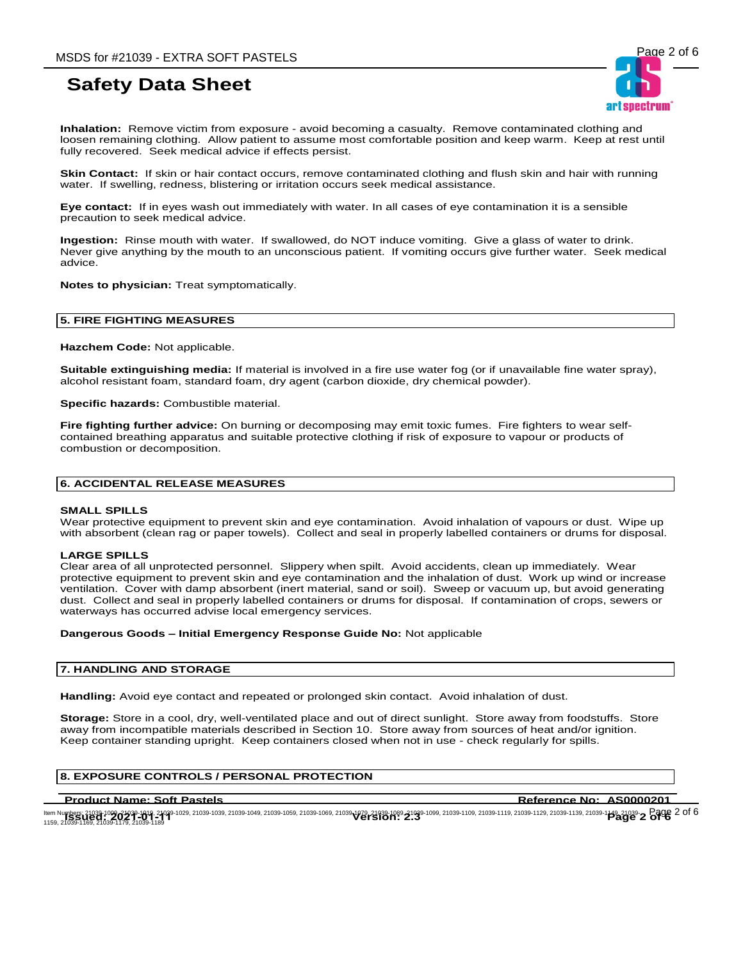**Inhalation:** Remove victim from exposure - avoid becoming a casualty. Remove contaminated clothing and loosen remaining clothing. Allow patient to assume most comfortable position and keep warm. Keep at rest until fully recovered. Seek medical advice if effects persist.

**Skin Contact:** If skin or hair contact occurs, remove contaminated clothing and flush skin and hair with running water. If swelling, redness, blistering or irritation occurs seek medical assistance.

**Eye contact:** If in eyes wash out immediately with water. In all cases of eye contamination it is a sensible precaution to seek medical advice.

**Ingestion:** Rinse mouth with water. If swallowed, do NOT induce vomiting. Give a glass of water to drink. Never give anything by the mouth to an unconscious patient. If vomiting occurs give further water. Seek medical advice.

**Notes to physician:** Treat symptomatically.

### **5. FIRE FIGHTING MEASURES**

**Hazchem Code:** Not applicable.

**Suitable extinguishing media:** If material is involved in a fire use water fog (or if unavailable fine water spray), alcohol resistant foam, standard foam, dry agent (carbon dioxide, dry chemical powder).

**Specific hazards:** Combustible material.

**Fire fighting further advice:** On burning or decomposing may emit toxic fumes. Fire fighters to wear selfcontained breathing apparatus and suitable protective clothing if risk of exposure to vapour or products of combustion or decomposition.

### **6. ACCIDENTAL RELEASE MEASURES**

#### **SMALL SPILLS**

Wear protective equipment to prevent skin and eye contamination. Avoid inhalation of vapours or dust. Wipe up with absorbent (clean rag or paper towels). Collect and seal in properly labelled containers or drums for disposal.

#### **LARGE SPILLS**

Clear area of all unprotected personnel. Slippery when spilt. Avoid accidents, clean up immediately. Wear protective equipment to prevent skin and eye contamination and the inhalation of dust. Work up wind or increase ventilation. Cover with damp absorbent (inert material, sand or soil). Sweep or vacuum up, but avoid generating dust. Collect and seal in properly labelled containers or drums for disposal. If contamination of crops, sewers or waterways has occurred advise local emergency services.

#### **Dangerous Goods – Initial Emergency Response Guide No:** Not applicable

#### **7. HANDLING AND STORAGE**

**Handling:** Avoid eye contact and repeated or prolonged skin contact. Avoid inhalation of dust.

**Storage:** Store in a cool, dry, well-ventilated place and out of direct sunlight. Store away from foodstuffs. Store away from incompatible materials described in Section 10. Store away from sources of heat and/or ignition. Keep container standing upright. Keep containers closed when not in use - check regularly for spills.

# **8. EXPOSURE CONTROLS / PERSONAL PROTECTION**

### **Product Name: Soft Pastels Reference No: AS0000201**

ltem Numbers: 21039-1099-24039-1019, 21039-1029, 21039-1039, 21039-1059, 21039-1069, 21039-1089, 21039-1099, 21039-1109, 21039-1119, 21039-1129, 21039-1139, 21039-1149, 21039-1149, 21039-1149, 21039-1149, 21039-1149, 21039 ltem Numbers: 21039-1089-24039-1019, 21039-1029, 21039-1039, 21039-1059, 21039-1069, 21039-1089, 21039-1109, 21039-1109, 21039-1119, 21039-1129, 21039-1139, 21039-1149, 21039-1<br>1159, 21039-1169, 21039-1179, 21039-1189<br>1159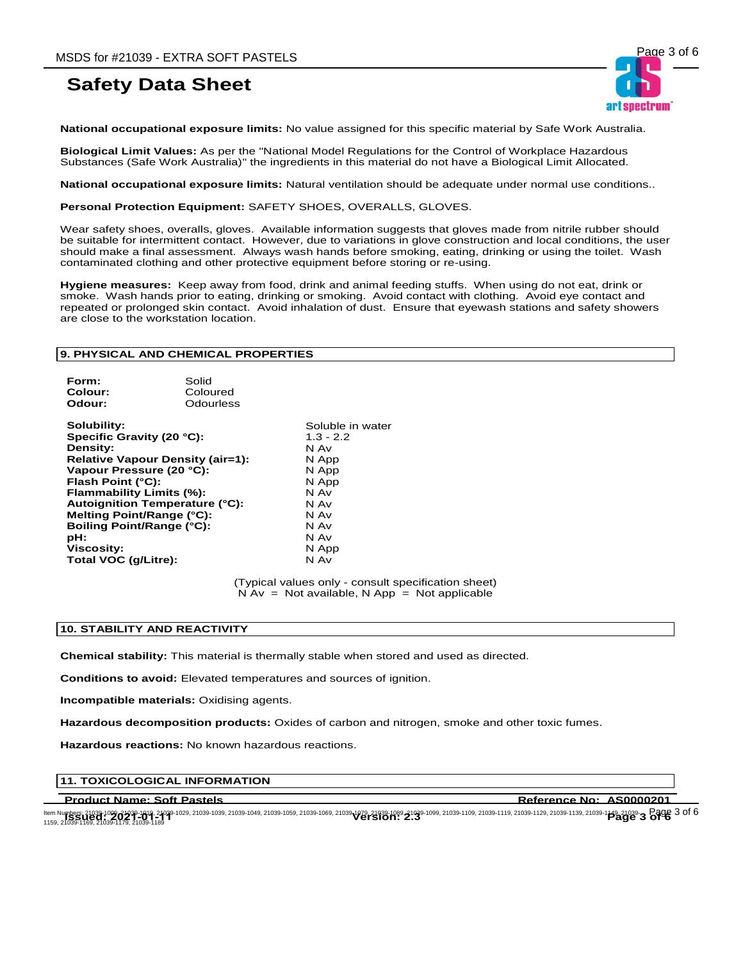

**National occupational exposure limits:** No value assigned for this specific material by Safe Work Australia.

**Biological Limit Values:** As per the "National Model Regulations for the Control of Workplace Hazardous Substances (Safe Work Australia)" the ingredients in this material do not have a Biological Limit Allocated.

**National occupational exposure limits:** Natural ventilation should be adequate under normal use conditions..

**Personal Protection Equipment:** SAFETY SHOES, OVERALLS, GLOVES.

Wear safety shoes, overalls, gloves. Available information suggests that gloves made from nitrile rubber should be suitable for intermittent contact. However, due to variations in glove construction and local conditions, the user should make a final assessment. Always wash hands before smoking, eating, drinking or using the toilet. Wash contaminated clothing and other protective equipment before storing or re-using.

**Hygiene measures:** Keep away from food, drink and animal feeding stuffs. When using do not eat, drink or smoke. Wash hands prior to eating, drinking or smoking. Avoid contact with clothing. Avoid eye contact and repeated or prolonged skin contact. Avoid inhalation of dust. Ensure that eyewash stations and safety showers are close to the workstation location.

### **9. PHYSICAL AND CHEMICAL PROPERTIES**

| Form:   | Solid     |
|---------|-----------|
| Colour: | Coloured  |
| Odour:  | Odourless |
|         |           |

**Solubility:**<br> **Soluble in water**<br> **Specific Gravity (20 °C):**<br> **Solubility:**  $\begin{array}{r} 4.3 - 2.2 \end{array}$ **Specific Gravity (20 °C):** 1.3 -<br>**Density:** N Av **Density: Relative Vapour Density (air=1):** N App **Vapour Pressure (20 °C):** N App<br>**Flash Point (°C):** N App **Flash Point (°C): Flammability Limits (%):** N Av<br>**Autoignition Temperature (°C):** N Av **Autoignition Temperature (°C):** N Av<br>**Melting Point/Range (°C):** N Av **Melting Point/Range (°C):** N Av **Boiling Point/Range (°C): pH:** N Av **Viscosity:** N App **Total VOC (g/Litre):** 

(Typical values only - consult specification sheet)  $N Av = Not available, N App = Not applicable$ 

#### **10. STABILITY AND REACTIVITY**

**Chemical stability:** This material is thermally stable when stored and used as directed.

**Conditions to avoid:** Elevated temperatures and sources of ignition.

**Incompatible materials:** Oxidising agents.

**Hazardous decomposition products:** Oxides of carbon and nitrogen, smoke and other toxic fumes.

**Hazardous reactions:** No known hazardous reactions.

### **11. TOXICOLOGICAL INFORMATION**

**Product Name: Soft Pastels Reference No: AS0000201**

ltem Numbers: 21039-1099-24039-1019, 21039-1029, 21039-1039, 21039-1059, 21039-1069, 21039-1089, 21039-1099, 21039-1109, 21039-1119, 21039-1129, 21039-1139, 21039-1149, 21039-1149, 21039-1149, 21039-1149, 21039-1149, 21039 ltem Numbers: 21039-1089-24039-1019, 21039-1029, 21039-1039, 21039-1059, 21039-1069, 21039-1089, 21039-1109, 21039-1109, 21039-1119, 21039-1129, 21039-1139, 21039-1139, 21039-1149, 21039-1179, 21039-1179, 21039-1179, 21039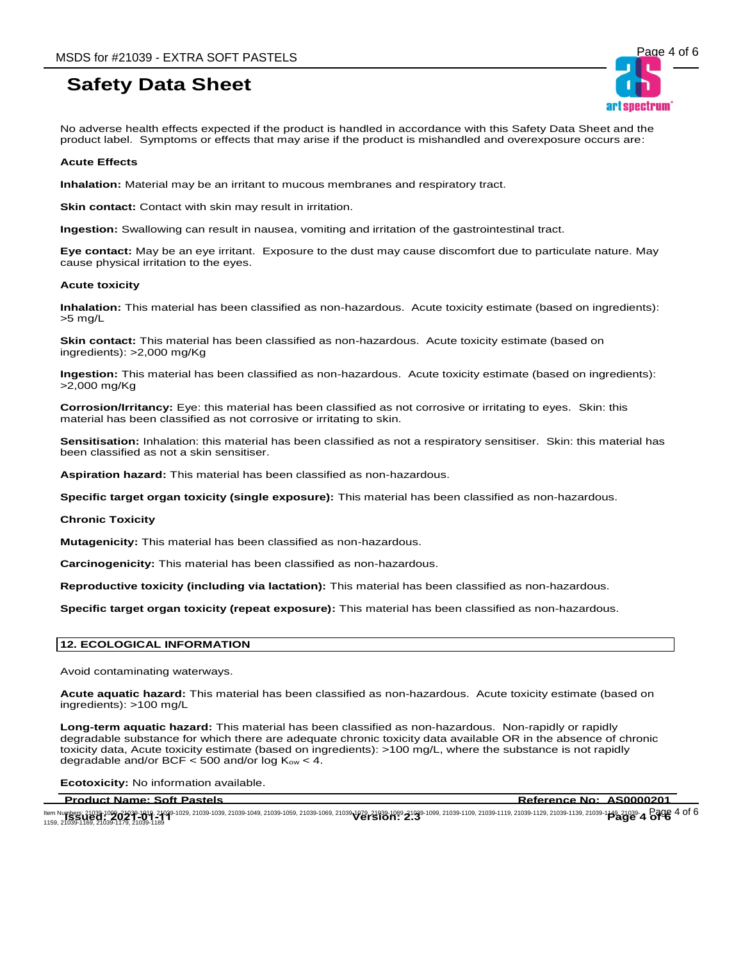No adverse health effects expected if the product is handled in accordance with this Safety Data Sheet and the product label. Symptoms or effects that may arise if the product is mishandled and overexposure occurs are:

#### **Acute Effects**

**Inhalation:** Material may be an irritant to mucous membranes and respiratory tract.

**Skin contact:** Contact with skin may result in irritation.

**Ingestion:** Swallowing can result in nausea, vomiting and irritation of the gastrointestinal tract.

**Eye contact:** May be an eye irritant. Exposure to the dust may cause discomfort due to particulate nature. May cause physical irritation to the eyes.

#### **Acute toxicity**

**Inhalation:** This material has been classified as non-hazardous. Acute toxicity estimate (based on ingredients): >5 mg/L

**Skin contact:** This material has been classified as non-hazardous. Acute toxicity estimate (based on ingredients): >2,000 mg/Kg

**Ingestion:** This material has been classified as non-hazardous. Acute toxicity estimate (based on ingredients): >2,000 mg/Kg

**Corrosion/Irritancy:** Eye: this material has been classified as not corrosive or irritating to eyes. Skin: this material has been classified as not corrosive or irritating to skin.

**Sensitisation:** Inhalation: this material has been classified as not a respiratory sensitiser. Skin: this material has been classified as not a skin sensitiser.

**Aspiration hazard:** This material has been classified as non-hazardous.

**Specific target organ toxicity (single exposure):** This material has been classified as non-hazardous.

#### **Chronic Toxicity**

**Mutagenicity:** This material has been classified as non-hazardous.

**Carcinogenicity:** This material has been classified as non-hazardous.

**Reproductive toxicity (including via lactation):** This material has been classified as non-hazardous.

**Specific target organ toxicity (repeat exposure):** This material has been classified as non-hazardous.

### **12. ECOLOGICAL INFORMATION**

Avoid contaminating waterways.

**Acute aquatic hazard:** This material has been classified as non-hazardous. Acute toxicity estimate (based on ingredients): >100 mg/L

**Long-term aquatic hazard:** This material has been classified as non-hazardous. Non-rapidly or rapidly degradable substance for which there are adequate chronic toxicity data available OR in the absence of chronic toxicity data, Acute toxicity estimate (based on ingredients): >100 mg/L, where the substance is not rapidly degradable and/or BCF  $<$  500 and/or log K<sub>ow</sub>  $<$  4.

**Ecotoxicity:** No information available.

**Product Name: Soft Pastels Reference No: AS0000201**

ltem Numbers: 21039-1099-24039-1019, 21039-1029, 21039-1039, 21039-1059, 21039-1069, 21039-1089, 21039-1099, 21039-1109, 21039-1119, 21039-1129, 21039-1139, 21039-1149, 21039-1149, 21039-1149, 21039-1149, 21039-1149, 21039 ltem Numbers: 21039-1089-24039-1019, 21039-1029, 21039-1039, 21039-1059, 21039-1069, 21039-1089, 21039-1109, 21039-1109, 21039-1119, 21039-1129, 21039-1139, 21039-1149, 21039-1<br>1159, 21039-1169, 21039-1179, 21039-1189<br>1159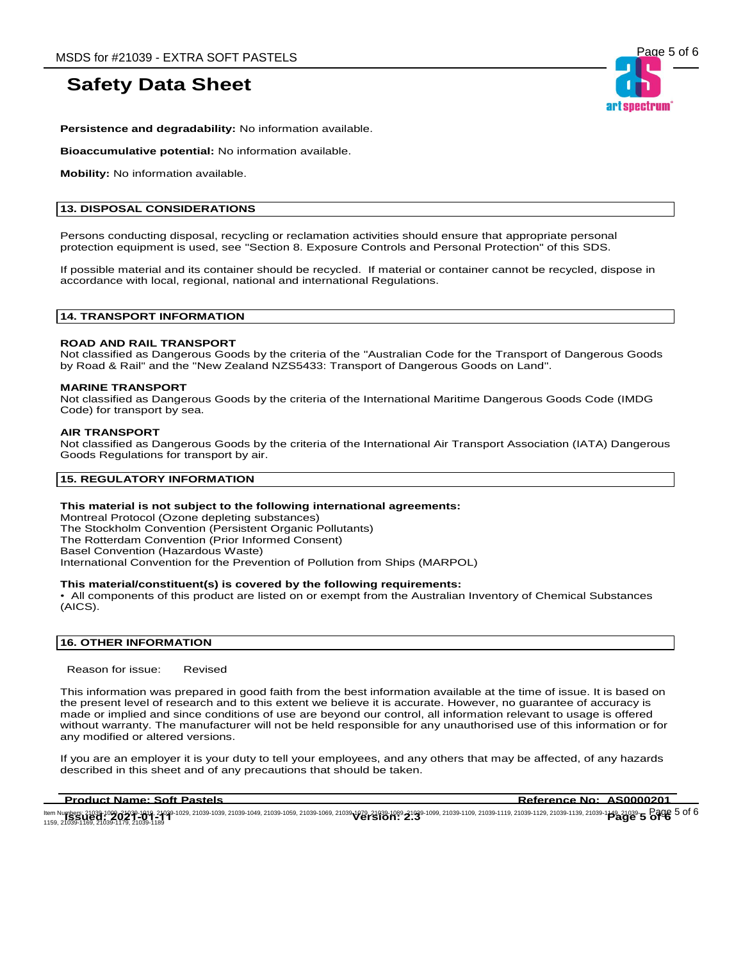

**Persistence and degradability:** No information available.

**Bioaccumulative potential:** No information available.

**Mobility:** No information available.

### **13. DISPOSAL CONSIDERATIONS**

Persons conducting disposal, recycling or reclamation activities should ensure that appropriate personal protection equipment is used, see "Section 8. Exposure Controls and Personal Protection" of this SDS.

If possible material and its container should be recycled. If material or container cannot be recycled, dispose in accordance with local, regional, national and international Regulations.

### **14. TRANSPORT INFORMATION**

### **ROAD AND RAIL TRANSPORT**

Not classified as Dangerous Goods by the criteria of the "Australian Code for the Transport of Dangerous Goods by Road & Rail" and the "New Zealand NZS5433: Transport of Dangerous Goods on Land".

#### **MARINE TRANSPORT**

Not classified as Dangerous Goods by the criteria of the International Maritime Dangerous Goods Code (IMDG Code) for transport by sea.

### **AIR TRANSPORT**

Not classified as Dangerous Goods by the criteria of the International Air Transport Association (IATA) Dangerous Goods Regulations for transport by air.

### **15. REGULATORY INFORMATION**

### **This material is not subject to the following international agreements:**

Montreal Protocol (Ozone depleting substances) The Stockholm Convention (Persistent Organic Pollutants) The Rotterdam Convention (Prior Informed Consent) Basel Convention (Hazardous Waste) International Convention for the Prevention of Pollution from Ships (MARPOL)

#### **This material/constituent(s) is covered by the following requirements:**

• All components of this product are listed on or exempt from the Australian Inventory of Chemical Substances (AICS).

# **16. OTHER INFORMATION**

Reason for issue: Revised

This information was prepared in good faith from the best information available at the time of issue. It is based on the present level of research and to this extent we believe it is accurate. However, no guarantee of accuracy is made or implied and since conditions of use are beyond our control, all information relevant to usage is offered without warranty. The manufacturer will not be held responsible for any unauthorised use of this information or for any modified or altered versions.

If you are an employer it is your duty to tell your employees, and any others that may be affected, of any hazards described in this sheet and of any precautions that should be taken.

**Product Name: Soft Pastels Reference No: AS0000201** 

ltem Numbers: 21039-1099-24039-1019, 21039-1029, 21039-1039, 21039-1059, 21039-1069, 21039-1089, 21039-1099, 21039-1109, 21039-1119, 21039-1129, 21039-1139, 21039-1149, 21039-1149, 21039-1149, 21039-1149, 21039-1149, 21039 ltem Numbers: 21039-1089-24039-1019, 21039-1029, 21039-1039, 21039-1059, 21039-1069, 21039-1089, 21039-1109, 21039-1109, 21039-1119, 21039-1129, 21039-1139, 21039-1139, 21039-1149, 21039-1179, 21039-1179, 21039-1179, 21039